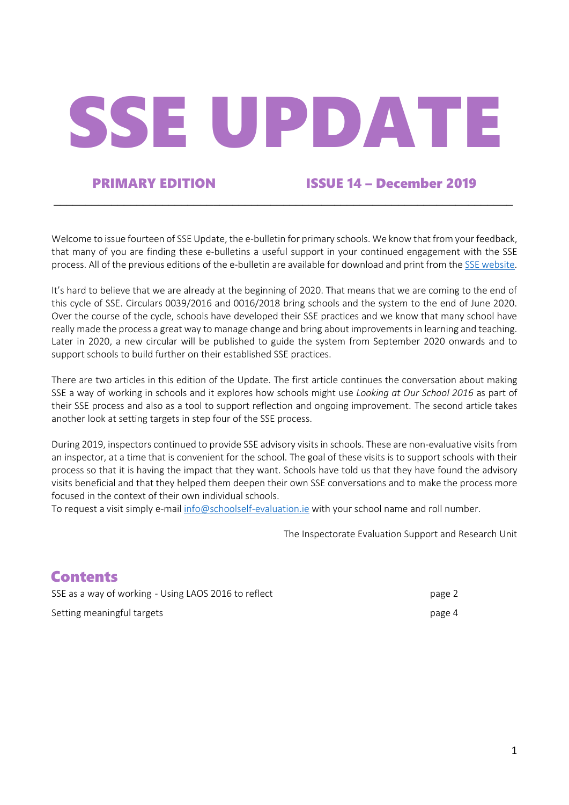# SSE UPDATE

# PRIMARY EDITION ISSUE 14 – December 2019

Welcome to issue fourteen of SSE Update, the e-bulletin for primary schools. We know that from your feedback, that many of you are finding these e-bulletins a useful support in your continued engagement with the SSE process. All of the previous editions of the e-bulletin are available for download and print from the SSE website.

\_\_\_\_\_\_\_\_\_\_\_\_\_\_\_\_\_\_\_\_\_\_\_\_\_\_\_\_\_\_\_\_\_\_\_\_\_\_\_\_\_\_\_\_\_\_\_\_\_\_\_\_\_\_\_\_\_\_\_\_\_\_\_\_\_\_\_\_\_\_\_\_

It's hard to believe that we are already at the beginning of 2020. That means that we are coming to the end of this cycle of SSE. Circulars 0039/2016 and 0016/2018 bring schools and the system to the end of June 2020. Over the course of the cycle, schools have developed their SSE practices and we know that many school have really made the process a great way to manage change and bring about improvements in learning and teaching. Later in 2020, a new circular will be published to guide the system from September 2020 onwards and to support schools to build further on their established SSE practices.

There are two articles in this edition of the Update. The first article continues the conversation about making SSE a way of working in schools and it explores how schools might use *Looking at Our School 2016* as part of their SSE process and also as a tool to support reflection and ongoing improvement. The second article takes another look at setting targets in step four of the SSE process.

During 2019, inspectors continued to provide SSE advisory visits in schools. These are non-evaluative visits from an inspector, at a time that is convenient for the school. The goal of these visits is to support schools with their process so that it is having the impact that they want. Schools have told us that they have found the advisory visits beneficial and that they helped them deepen their own SSE conversations and to make the process more focused in the context of their own individual schools.

To request a visit simply e-mail info@schoolself-evaluation.ie with your school name and roll number.

The Inspectorate Evaluation Support and Research Unit

# **Contents**

SSE as a way of working - Using LAOS 2016 to reflect page 2 Setting meaningful targets **page 4** and the setting meaningful targets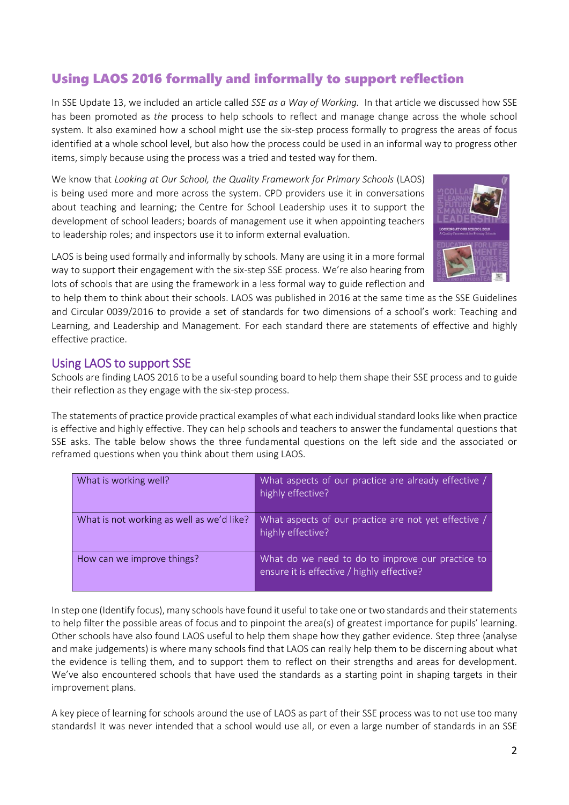# Using LAOS 2016 formally and informally to support reflection

In SSE Update 13, we included an article called *SSE as a Way of Working.* In that article we discussed how SSE has been promoted as *the* process to help schools to reflect and manage change across the whole school system. It also examined how a school might use the six-step process formally to progress the areas of focus identified at a whole school level, but also how the process could be used in an informal way to progress other items, simply because using the process was a tried and tested way for them.

We know that *Looking at Our School, the Quality Framework for Primary Schools* (LAOS) is being used more and more across the system. CPD providers use it in conversations about teaching and learning; the Centre for School Leadership uses it to support the development of school leaders; boards of management use it when appointing teachers to leadership roles; and inspectors use it to inform external evaluation.

LAOS is being used formally and informally by schools. Many are using it in a more formal way to support their engagement with the six-step SSE process. We're also hearing from lots of schools that are using the framework in a less formal way to guide reflection and



to help them to think about their schools. LAOS was published in 2016 at the same time as the SSE Guidelines and Circular 0039/2016 to provide a set of standards for two dimensions of a school's work: Teaching and Learning, and Leadership and Management. For each standard there are statements of effective and highly effective practice.

## Using LAOS to support SSE

Schools are finding LAOS 2016 to be a useful sounding board to help them shape their SSE process and to guide their reflection as they engage with the six-step process.

The statements of practice provide practical examples of what each individual standard looks like when practice is effective and highly effective. They can help schools and teachers to answer the fundamental questions that SSE asks. The table below shows the three fundamental questions on the left side and the associated or reframed questions when you think about them using LAOS.

| What is working well?                     | What aspects of our practice are already effective /<br>highly effective?                      |
|-------------------------------------------|------------------------------------------------------------------------------------------------|
| What is not working as well as we'd like? | What aspects of our practice are not yet effective /<br>highly effective?                      |
| How can we improve things?                | What do we need to do to improve our practice to<br>ensure it is effective / highly effective? |

In step one (Identify focus), many schools have found it useful to take one or two standards and their statements to help filter the possible areas of focus and to pinpoint the area(s) of greatest importance for pupils' learning. Other schools have also found LAOS useful to help them shape how they gather evidence. Step three (analyse and make judgements) is where many schools find that LAOS can really help them to be discerning about what the evidence is telling them, and to support them to reflect on their strengths and areas for development. We've also encountered schools that have used the standards as a starting point in shaping targets in their improvement plans.

A key piece of learning for schools around the use of LAOS as part of their SSE process was to not use too many standards! It was never intended that a school would use all, or even a large number of standards in an SSE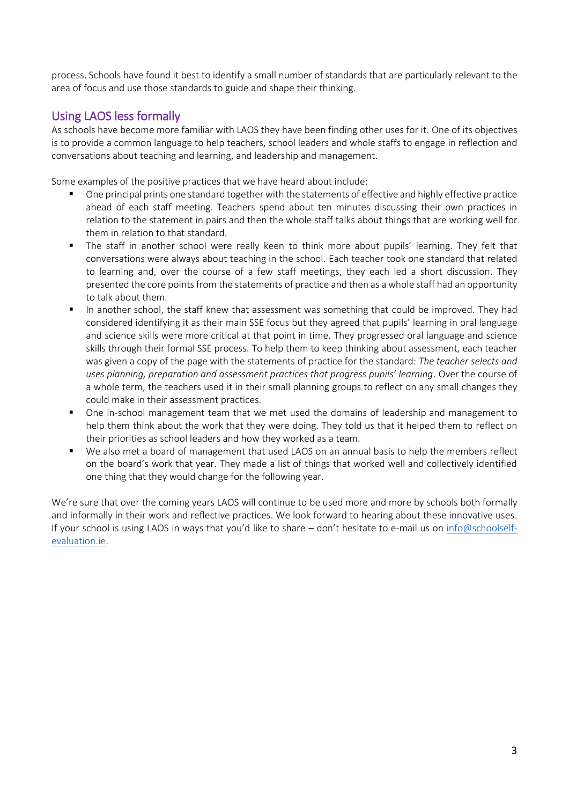process. Schools have found it best to identify a small number of standards that are particularly relevant to the area of focus and use those standards to guide and shape their thinking.

# Using LAOS less formally

As schools have become more familiar with LAOS they have been finding other uses for it. One of its objectives is to provide a common language to help teachers, school leaders and whole staffs to engage in reflection and conversations about teaching and learning, and leadership and management.

Some examples of the positive practices that we have heard about include:

- One principal prints one standard together with the statements of effective and highly effective practice ahead of each staff meeting. Teachers spend about ten minutes discussing their own practices in relation to the statement in pairs and then the whole staff talks about things that are working well for them in relation to that standard.
- The staff in another school were really keen to think more about pupils' learning. They felt that conversations were always about teaching in the school. Each teacher took one standard that related to learning and, over the course of a few staff meetings, they each led a short discussion. They presented the core points from the statements of practice and then as a whole staff had an opportunity to talk about them.
- In another school, the staff knew that assessment was something that could be improved. They had considered identifying it as their main SSE focus but they agreed that pupils' learning in oral language and science skills were more critical at that point in time. They progressed oral language and science skills through their formal SSE process. To help them to keep thinking about assessment, each teacher was given a copy of the page with the statements of practice for the standard: *The teacher selects and uses planning, preparation and assessment practices that progress pupils' learning*. Over the course of a whole term, the teachers used it in their small planning groups to reflect on any small changes they could make in their assessment practices.
- One in-school management team that we met used the domains of leadership and management to help them think about the work that they were doing. They told us that it helped them to reflect on their priorities as school leaders and how they worked as a team.
- We also met a board of management that used LAOS on an annual basis to help the members reflect on the board's work that year. They made a list of things that worked well and collectively identified one thing that they would change for the following year.

We're sure that over the coming years LAOS will continue to be used more and more by schools both formally and informally in their work and reflective practices. We look forward to hearing about these innovative uses. If your school is using LAOS in ways that you'd like to share – don't hesitate to e-mail us on info@schoolselfevaluation.ie.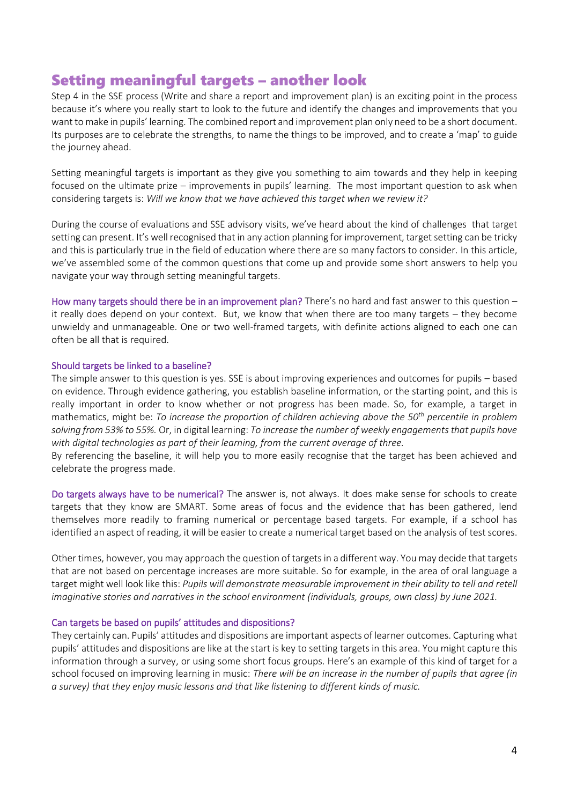# Setting meaningful targets – another look

Step 4 in the SSE process (Write and share a report and improvement plan) is an exciting point in the process because it's where you really start to look to the future and identify the changes and improvements that you want to make in pupils' learning. The combined report and improvement plan only need to be a short document. Its purposes are to celebrate the strengths, to name the things to be improved, and to create a 'map' to guide the journey ahead.

Setting meaningful targets is important as they give you something to aim towards and they help in keeping focused on the ultimate prize – improvements in pupils' learning. The most important question to ask when considering targets is: *Will we know that we have achieved this target when we review it?*

During the course of evaluations and SSE advisory visits, we've heard about the kind of challenges that target setting can present. It's well recognised that in any action planning for improvement, target setting can be tricky and this is particularly true in the field of education where there are so many factors to consider. In this article, we've assembled some of the common questions that come up and provide some short answers to help you navigate your way through setting meaningful targets.

How many targets should there be in an improvement plan? There's no hard and fast answer to this question – it really does depend on your context. But, we know that when there are too many targets – they become unwieldy and unmanageable. One or two well-framed targets, with definite actions aligned to each one can often be all that is required.

### Should targets be linked to a baseline?

The simple answer to this question is yes. SSE is about improving experiences and outcomes for pupils – based on evidence. Through evidence gathering, you establish baseline information, or the starting point, and this is really important in order to know whether or not progress has been made. So, for example, a target in mathematics, might be: *To increase the proportion of children achieving above the 50th percentile in problem solving from 53% to 55%.* Or, in digital learning: *To increase the number of weekly engagements that pupils have with digital technologies as part of their learning, from the current average of three.*

By referencing the baseline, it will help you to more easily recognise that the target has been achieved and celebrate the progress made.

Do targets always have to be numerical? The answer is, not always. It does make sense for schools to create targets that they know are SMART. Some areas of focus and the evidence that has been gathered, lend themselves more readily to framing numerical or percentage based targets. For example, if a school has identified an aspect of reading, it will be easier to create a numerical target based on the analysis of test scores.

Other times, however, you may approach the question of targets in a different way. You may decide that targets that are not based on percentage increases are more suitable. So for example, in the area of oral language a target might well look like this: *Pupils will demonstrate measurable improvement in their ability to tell and retell imaginative stories and narratives in the school environment (individuals, groups, own class) by June 2021.*

### Can targets be based on pupils' attitudes and dispositions?

They certainly can. Pupils' attitudes and dispositions are important aspects of learner outcomes. Capturing what pupils' attitudes and dispositions are like at the start is key to setting targets in this area. You might capture this information through a survey, or using some short focus groups. Here's an example of this kind of target for a school focused on improving learning in music: *There will be an increase in the number of pupils that agree (in a survey) that they enjoy music lessons and that like listening to different kinds of music.*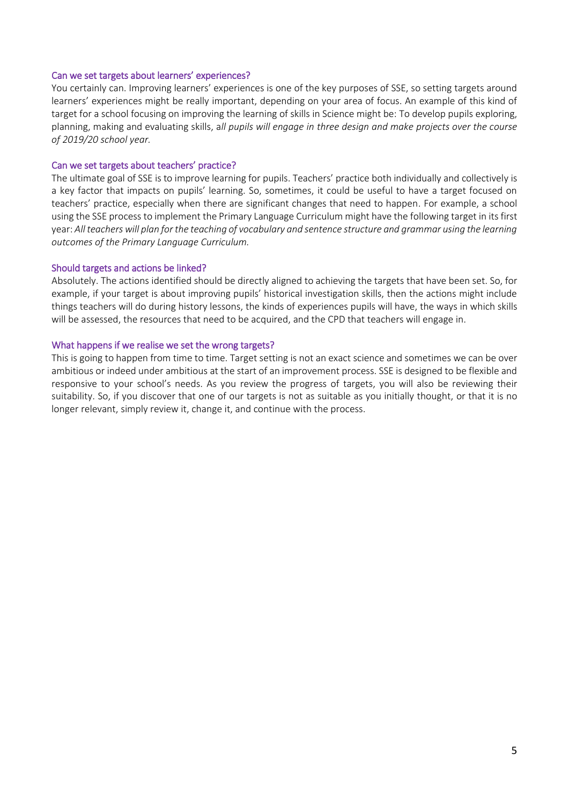### Can we set targets about learners' experiences?

You certainly can. Improving learners' experiences is one of the key purposes of SSE, so setting targets around learners' experiences might be really important, depending on your area of focus. An example of this kind of target for a school focusing on improving the learning of skills in Science might be: To develop pupils exploring, planning, making and evaluating skills, a*ll pupils will engage in three design and make projects over the course of 2019/20 school year.* 

### Can we set targets about teachers' practice?

The ultimate goal of SSE is to improve learning for pupils. Teachers' practice both individually and collectively is a key factor that impacts on pupils' learning. So, sometimes, it could be useful to have a target focused on teachers' practice, especially when there are significant changes that need to happen. For example, a school using the SSE process to implement the Primary Language Curriculum might have the following target in its first year: *All teachers will plan for the teaching of vocabulary and sentence structure and grammar using the learning outcomes of the Primary Language Curriculum.*

### Should targets and actions be linked?

Absolutely. The actions identified should be directly aligned to achieving the targets that have been set. So, for example, if your target is about improving pupils' historical investigation skills, then the actions might include things teachers will do during history lessons, the kinds of experiences pupils will have, the ways in which skills will be assessed, the resources that need to be acquired, and the CPD that teachers will engage in.

### What happens if we realise we set the wrong targets?

This is going to happen from time to time. Target setting is not an exact science and sometimes we can be over ambitious or indeed under ambitious at the start of an improvement process. SSE is designed to be flexible and responsive to your school's needs. As you review the progress of targets, you will also be reviewing their suitability. So, if you discover that one of our targets is not as suitable as you initially thought, or that it is no longer relevant, simply review it, change it, and continue with the process.